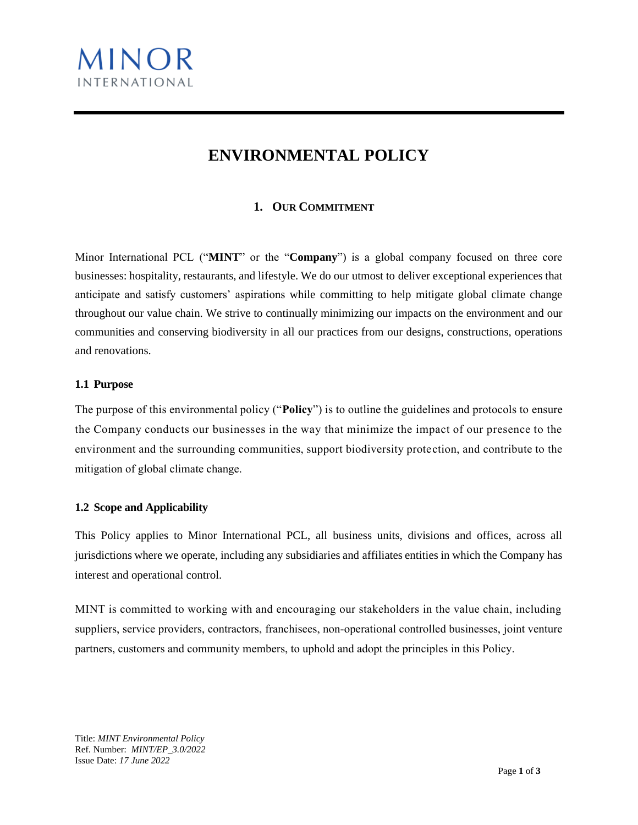

# **ENVIRONMENTAL POLICY**

## **1. OUR COMMITMENT**

Minor International PCL ("**MINT**" or the "**Company**") is a global company focused on three core businesses: hospitality, restaurants, and lifestyle. We do our utmost to deliver exceptional experiences that anticipate and satisfy customers' aspirations while committing to help mitigate global climate change throughout our value chain. We strive to continually minimizing our impacts on the environment and our communities and conserving biodiversity in all our practices from our designs, constructions, operations and renovations.

#### **1.1 Purpose**

The purpose of this environmental policy ("**Policy**") is to outline the guidelines and protocols to ensure the Company conducts our businesses in the way that minimize the impact of our presence to the environment and the surrounding communities, support biodiversity protection, and contribute to the mitigation of global climate change.

#### **1.2 Scope and Applicability**

This Policy applies to Minor International PCL, all business units, divisions and offices, across all jurisdictions where we operate, including any subsidiaries and affiliates entities in which the Company has interest and operational control.

MINT is committed to working with and encouraging our stakeholders in the value chain, including suppliers, service providers, contractors, franchisees, non-operational controlled businesses, joint venture partners, customers and community members, to uphold and adopt the principles in this Policy.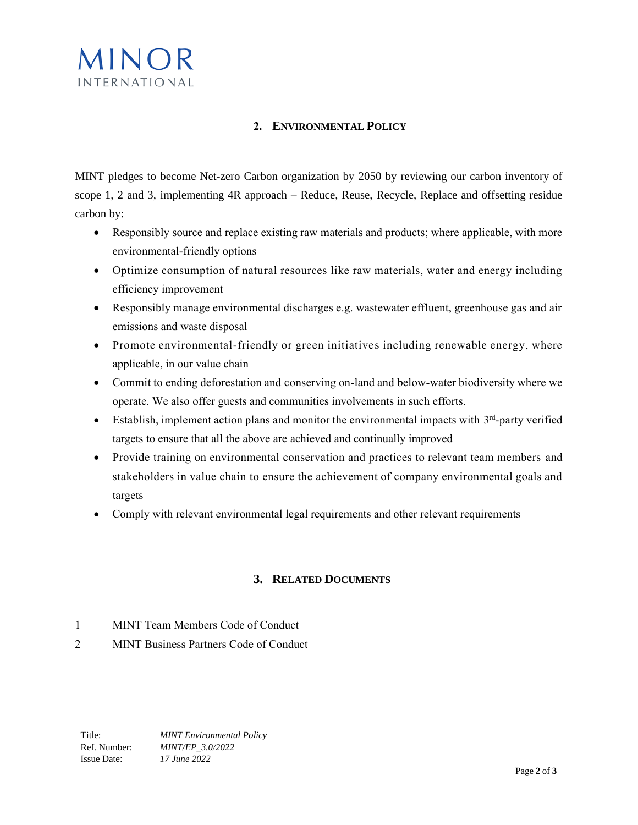

### **2. ENVIRONMENTAL POLICY**

MINT pledges to become Net-zero Carbon organization by 2050 by reviewing our carbon inventory of scope 1, 2 and 3, implementing 4R approach – Reduce, Reuse, Recycle, Replace and offsetting residue carbon by:

- Responsibly source and replace existing raw materials and products; where applicable, with more environmental-friendly options
- Optimize consumption of natural resources like raw materials, water and energy including efficiency improvement
- Responsibly manage environmental discharges e.g. wastewater effluent, greenhouse gas and air emissions and waste disposal
- Promote environmental-friendly or green initiatives including renewable energy, where applicable, in our value chain
- Commit to ending deforestation and conserving on-land and below-water biodiversity where we operate. We also offer guests and communities involvements in such efforts.
- Establish, implement action plans and monitor the environmental impacts with  $3<sup>rd</sup>$ -party verified targets to ensure that all the above are achieved and continually improved
- Provide training on environmental conservation and practices to relevant team members and stakeholders in value chain to ensure the achievement of company environmental goals and targets
- Comply with relevant environmental legal requirements and other relevant requirements

## **3. RELATED DOCUMENTS**

- 1 MINT Team Members Code of Conduct
- 2 MINT Business Partners Code of Conduct

Title: *MINT Environmental Policy*  Ref. Number: *MINT/EP\_3.0/2022*  Issue Date: *17 June 2022*